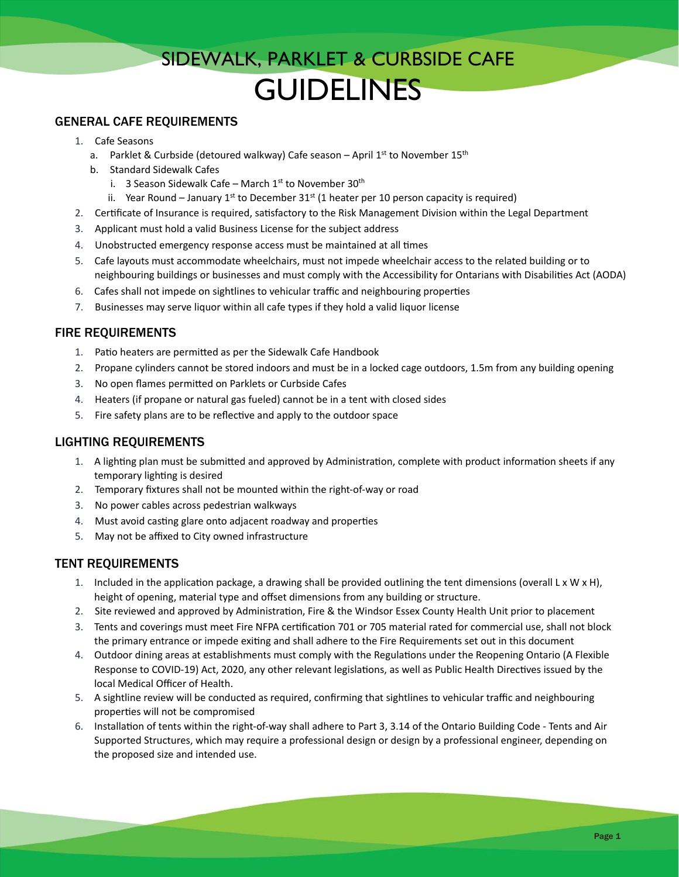# SIDEWALK, PARKLET & CURBSIDE CAFE **GUIDELINES**

# GENERAL CAFE REQUIREMENTS

- 1. Cafe Seasons
	- a. Parklet & Curbside (detoured walkway) Cafe season April  $1^{st}$  to November  $15^{th}$
	- b. Standard Sidewalk Cafes
		- i. 3 Season Sidewalk Cafe March  $1^{st}$  to November  $30^{th}$
		- ii. Year Round January 1<sup>st</sup> to December 31<sup>st</sup> (1 heater per 10 person capacity is required)
- 2. Certificate of Insurance is required, satisfactory to the Risk Management Division within the Legal Department
- 3. Applicant must hold a valid Business License for the subject address
- 4. Unobstructed emergency response access must be maintained at all times
- 5. Cafe layouts must accommodate wheelchairs, must not impede wheelchair access to the related building or to neighbouring buildings or businesses and must comply with the Accessibility for Ontarians with Disabilities Act (AODA)
- 6. Cafes shall not impede on sightlines to vehicular traffic and neighbouring properties
- 7. Businesses may serve liquor within all cafe types if they hold a valid liquor license

# FIRE REQUIREMENTS

- 1. Patio heaters are permitted as per the Sidewalk Cafe Handbook
- 2. Propane cylinders cannot be stored indoors and must be in a locked cage outdoors, 1.5m from any building opening
- 3. No open flames permitted on Parklets or Curbside Cafes
- 4. Heaters (if propane or natural gas fueled) cannot be in a tent with closed sides
- 5. Fire safety plans are to be reflective and apply to the outdoor space

# LIGHTING REQUIREMENTS

- 1. A lighting plan must be submitted and approved by Administration, complete with product information sheets if any temporary lighting is desired
- 2. Temporary fixtures shall not be mounted within the right-of-way or road
- 3. No power cables across pedestrian walkways
- 4. Must avoid casting glare onto adjacent roadway and properties
- 5. May not be affixed to City owned infrastructure

# TENT REQUIREMENTS

- 1. Included in the application package, a drawing shall be provided outlining the tent dimensions (overall L x W x H), height of opening, material type and offset dimensions from any building or structure.
- 2. Site reviewed and approved by Administration, Fire & the Windsor Essex County Health Unit prior to placement
- 3. Tents and coverings must meet Fire NFPA certification 701 or 705 material rated for commercial use, shall not block the primary entrance or impede exiting and shall adhere to the Fire Requirements set out in this document
- 4. Outdoor dining areas at establishments must comply with the Regulations under the Reopening Ontario (A Flexible Response to COVID-19) Act, 2020, any other relevant legislations, as well as Public Health Directives issued by the local Medical Officer of Health.
- 5. A sightline review will be conducted as required, confirming that sightlines to vehicular traffic and neighbouring properties will not be compromised
- 6. Installation of tents within the right-of-way shall adhere to Part 3, 3.14 of the Ontario Building Code Tents and Air Supported Structures, which may require a professional design or design by a professional engineer, depending on the proposed size and intended use.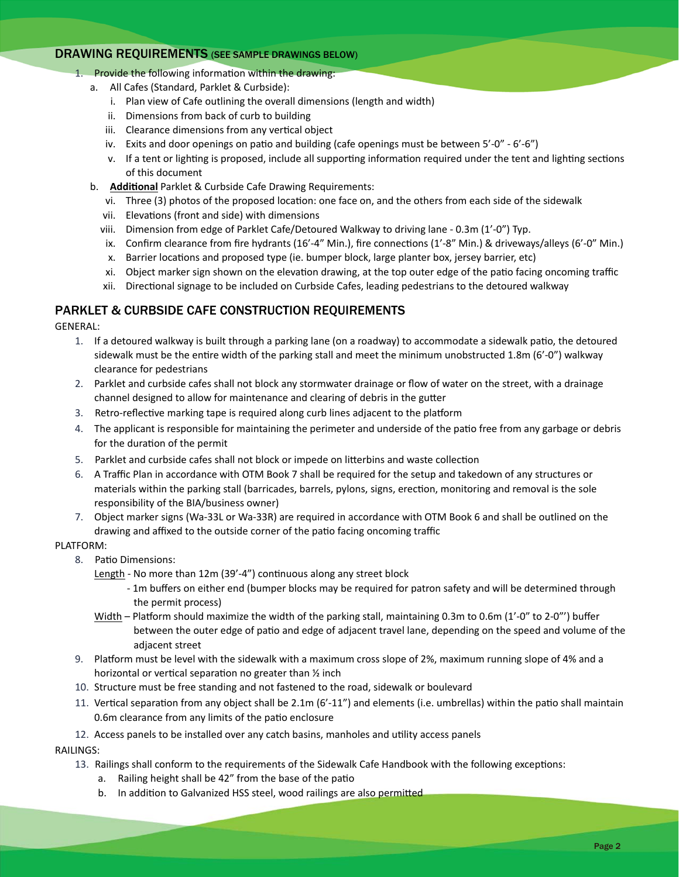## DRAWING REQUIREMENTS (SEE SAMPLE DRAWINGS BELOW)

#### 1. Provide the following information within the drawing:

- a. All Cafes (Standard, Parklet & Curbside):
	- i. Plan view of Cafe outlining the overall dimensions (length and width)
	- ii. Dimensions from back of curb to building
	- iii. Clearance dimensions from any vertical object
	- iv. Exits and door openings on patio and building (cafe openings must be between 5'-0" 6'-6")
	- v. If a tent or lighting is proposed, include all supporting information required under the tent and lighting sections of this document
- b. **AddiƟonal** Parklet & Curbside Cafe Drawing Requirements:
	- vi. Three (3) photos of the proposed location: one face on, and the others from each side of the sidewalk
	- vii. Elevations (front and side) with dimensions
	- viii. Dimension from edge of Parklet Cafe/Detoured Walkway to driving lane 0.3m (1'-0") Typ.
	- ix. Confirm clearance from fire hydrants (16'-4" Min.), fire connections (1'-8" Min.) & driveways/alleys (6'-0" Min.)
	- x. Barrier locations and proposed type (ie. bumper block, large planter box, jersey barrier, etc)
	- xi. Object marker sign shown on the elevation drawing, at the top outer edge of the patio facing oncoming traffic
	- xii. Directional signage to be included on Curbside Cafes, leading pedestrians to the detoured walkway

## PARKLET & CURBSIDE CAFE CONSTRUCTION REQUIREMENTS

#### GENERAL:

- 1. If a detoured walkway is built through a parking lane (on a roadway) to accommodate a sidewalk patio, the detoured sidewalk must be the entire width of the parking stall and meet the minimum unobstructed 1.8m (6'-0") walkway clearance for pedestrians
- 2. Parklet and curbside cafes shall not block any stormwater drainage or flow of water on the street, with a drainage channel designed to allow for maintenance and clearing of debris in the gutter
- 3. Retro-reflective marking tape is required along curb lines adjacent to the platform
- 4. The applicant is responsible for maintaining the perimeter and underside of the patio free from any garbage or debris for the duration of the permit
- 5. Parklet and curbside cafes shall not block or impede on litterbins and waste collection
- 6. A Traffic Plan in accordance with OTM Book 7 shall be required for the setup and takedown of any structures or materials within the parking stall (barricades, barrels, pylons, signs, erection, monitoring and removal is the sole responsibility of the BIA/business owner)
- 7. Object marker signs (Wa-33L or Wa-33R) are required in accordance with OTM Book 6 and shall be outlined on the drawing and affixed to the outside corner of the patio facing oncoming traffic

#### PLATFORM:

- 8. Patio Dimensions:
	- Length No more than 12m (39'-4") continuous along any street block
		- 1m buffers on either end (bumper blocks may be required for patron safety and will be determined through the permit process)
	- Width Platform should maximize the width of the parking stall, maintaining 0.3m to 0.6m (1'-0" to 2-0"') buffer between the outer edge of patio and edge of adjacent travel lane, depending on the speed and volume of the adjacent street
- 9. Platform must be level with the sidewalk with a maximum cross slope of 2%, maximum running slope of 4% and a horizontal or vertical separation no greater than  $\frac{1}{2}$  inch
- 10. Structure must be free standing and not fastened to the road, sidewalk or boulevard
- 11. Vertical separation from any object shall be  $2.1m (6'-11'')$  and elements (i.e. umbrellas) within the patio shall maintain 0.6m clearance from any limits of the patio enclosure
- 12. Access panels to be installed over any catch basins, manholes and utility access panels

#### RAILINGS:

- 13. Railings shall conform to the requirements of the Sidewalk Cafe Handbook with the following exceptions:
	- a. Railing height shall be 42" from the base of the patio
	- b. In addition to Galvanized HSS steel, wood railings are also permitted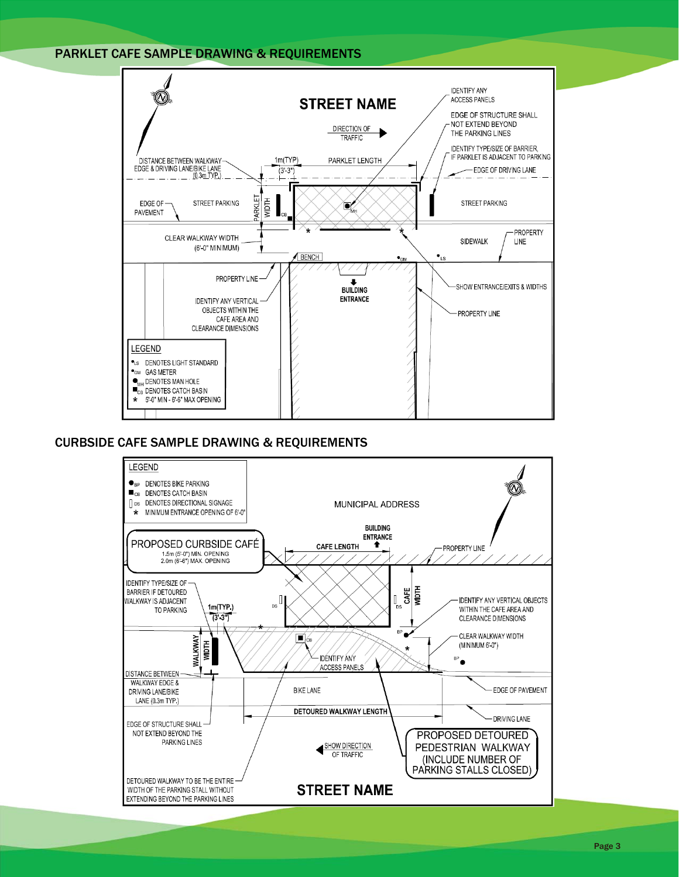### PARKLET CAFE SAMPLE DRAWING & REQUIREMENTS



## CURBSIDE CAFE SAMPLE DRAWING & REQUIREMENTS

![](_page_2_Figure_3.jpeg)